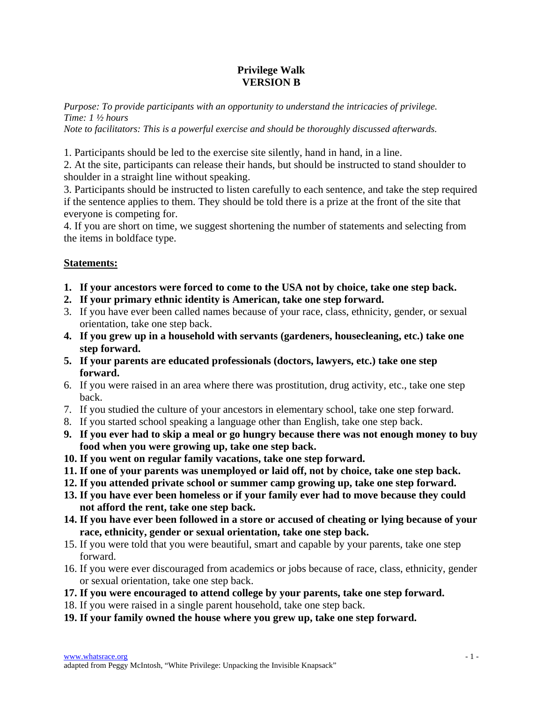## **Privilege Walk VERSION B**

*Purpose: To provide participants with an opportunity to understand the intricacies of privilege. Time: 1 ½ hours* 

*Note to facilitators: This is a powerful exercise and should be thoroughly discussed afterwards.* 

1. Participants should be led to the exercise site silently, hand in hand, in a line.

2. At the site, participants can release their hands, but should be instructed to stand shoulder to shoulder in a straight line without speaking.

3. Participants should be instructed to listen carefully to each sentence, and take the step required if the sentence applies to them. They should be told there is a prize at the front of the site that everyone is competing for.

4. If you are short on time, we suggest shortening the number of statements and selecting from the items in boldface type.

## **Statements:**

- **1. If your ancestors were forced to come to the USA not by choice, take one step back.**
- **2. If your primary ethnic identity is American, take one step forward.**
- 3. If you have ever been called names because of your race, class, ethnicity, gender, or sexual orientation, take one step back.
- **4. If you grew up in a household with servants (gardeners, housecleaning, etc.) take one step forward.**
- **5. If your parents are educated professionals (doctors, lawyers, etc.) take one step forward.**
- 6. If you were raised in an area where there was prostitution, drug activity, etc., take one step back.
- 7. If you studied the culture of your ancestors in elementary school, take one step forward.
- 8. If you started school speaking a language other than English, take one step back.
- **9. If you ever had to skip a meal or go hungry because there was not enough money to buy food when you were growing up, take one step back.**
- **10. If you went on regular family vacations, take one step forward.**
- **11. If one of your parents was unemployed or laid off, not by choice, take one step back.**
- **12. If you attended private school or summer camp growing up, take one step forward.**
- **13. If you have ever been homeless or if your family ever had to move because they could not afford the rent, take one step back.**
- **14. If you have ever been followed in a store or accused of cheating or lying because of your race, ethnicity, gender or sexual orientation, take one step back.**
- 15. If you were told that you were beautiful, smart and capable by your parents, take one step forward.
- 16. If you were ever discouraged from academics or jobs because of race, class, ethnicity, gender or sexual orientation, take one step back.
- **17. If you were encouraged to attend college by your parents, take one step forward.**
- 18. If you were raised in a single parent household, take one step back.
- **19. If your family owned the house where you grew up, take one step forward.**